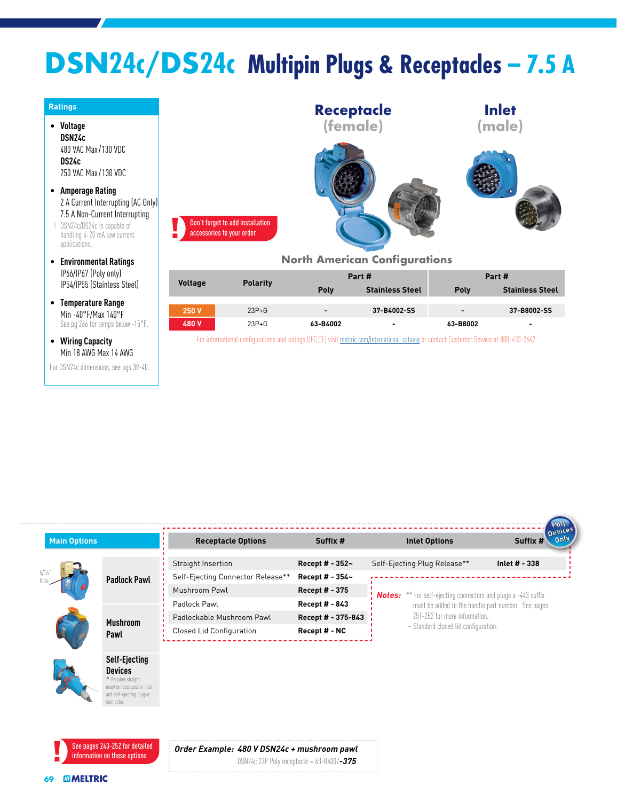## **DSN24c/DS24c Multipin Plugs & Receptacles – 7.5 A**

|                |                        | North                                                         |
|----------------|------------------------|---------------------------------------------------------------|
| <b>Voltage</b> | <b>Polarity</b>        |                                                               |
|                |                        |                                                               |
| 250 V<br>480V  | $23P + G$<br>$23P + G$ |                                                               |
|                |                        | Don't forget to add installation<br>accessories to your order |



[EC,CE] visit [meltric.com/international-catalog](https://meltric.com/media/contentmanager/content/MARECHAL_Full_Catalogue_EN_1.pdf) or contact Customer Service at 800-433-7642.

| <b>Main Options</b> |                                                      | <b>Receptacle Options</b>         | Suffix #           | <b>Inlet Options</b>                                                  | Devices<br>Suffix # |
|---------------------|------------------------------------------------------|-----------------------------------|--------------------|-----------------------------------------------------------------------|---------------------|
|                     |                                                      | Straight Insertion                | Recept # - 352~    | Self-Ejecting Plug Release**                                          | Inlet $# - 338$     |
|                     | <b>Padlock Pawl</b>                                  | Self-Ejecting Connector Release** | Recept # - 354~    |                                                                       |                     |
|                     |                                                      | Mushroom Pawl                     | Recept # - 375     | <b>Notes:</b> ** For self-ejecting connectors and plugs a -443 suffix |                     |
|                     |                                                      | Padlock Pawl                      | Recept # - 843     | must be added to the handle part number. See pages                    |                     |
|                     | <b>Mushroom</b>                                      | Padlockable Mushroom Pawl         | Recept # - 375-843 | 251-252 for more information.                                         |                     |
|                     | Pawl                                                 | <b>Closed Lid Configuration</b>   | Recept # - NC      | ~ Standard closed lid configuration.                                  |                     |
|                     |                                                      |                                   |                    |                                                                       |                     |
|                     | <b>Self-Ejecting</b>                                 |                                   |                    |                                                                       |                     |
|                     | <b>Devices</b>                                       |                                   |                    |                                                                       |                     |
|                     | * Requires straight<br>insertion receptacle or inlet |                                   |                    |                                                                       |                     |
|                     | and self-ejecting plug or<br>connector.              |                                   |                    |                                                                       |                     |
|                     |                                                      |                                   |                    |                                                                       |                     |
|                     |                                                      |                                   |                    |                                                                       |                     |
|                     |                                                      |                                   |                    |                                                                       |                     |